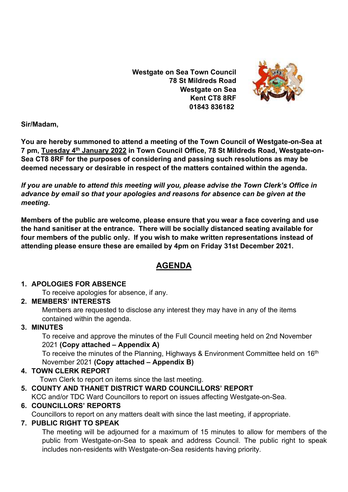**Westgate on Sea Town Council 78 St Mildreds Road Westgate on Sea Kent CT8 8RF 01843 836182**



**Sir/Madam,** 

**You are hereby summoned to attend a meeting of the Town Council of Westgate-on-Sea at 7 pm, Tuesday 4 th January 2022 in Town Council Office, 78 St Mildreds Road, Westgate-on-Sea CT8 8RF for the purposes of considering and passing such resolutions as may be deemed necessary or desirable in respect of the matters contained within the agenda.**

*If you are unable to attend this meeting will you, please advise the Town Clerk's Office in advance by email so that your apologies and reasons for absence can be given at the meeting***.**

**Members of the public are welcome, please ensure that you wear a face covering and use the hand sanitiser at the entrance. There will be socially distanced seating available for four members of the public only. If you wish to make written representations instead of attending please ensure these are emailed by 4pm on Friday 31st December 2021.**

# **AGENDA**

### **1. APOLOGIES FOR ABSENCE**

To receive apologies for absence, if any.

### **2. MEMBERS' INTERESTS**

Members are requested to disclose any interest they may have in any of the items contained within the agenda.

### **3. MINUTES**

To receive and approve the minutes of the Full Council meeting held on 2nd November 2021 **(Copy attached – Appendix A)**

To receive the minutes of the Planning, Highways & Environment Committee held on 16<sup>th</sup> November 2021 **(Copy attached – Appendix B)**

### **4. TOWN CLERK REPORT**

Town Clerk to report on items since the last meeting.

## **5. COUNTY AND THANET DISTRICT WARD COUNCILLORS' REPORT**

KCC and/or TDC Ward Councillors to report on issues affecting Westgate-on-Sea.

### **6. COUNCILLORS' REPORTS**

Councillors to report on any matters dealt with since the last meeting, if appropriate.

### **7. PUBLIC RIGHT TO SPEAK**

The meeting will be adjourned for a maximum of 15 minutes to allow for members of the public from Westgate-on-Sea to speak and address Council. The public right to speak includes non-residents with Westgate-on-Sea residents having priority.